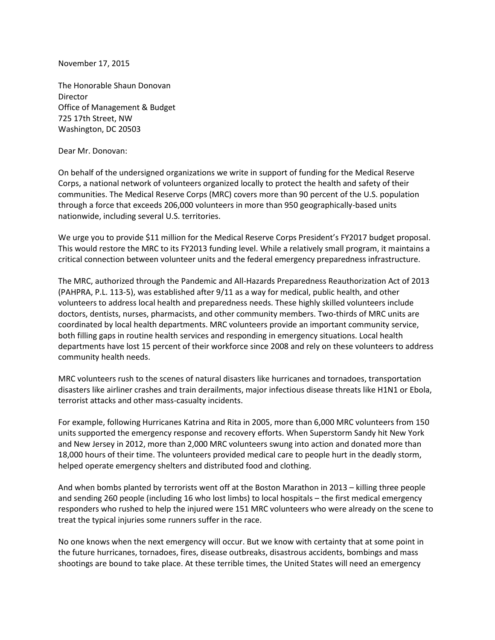November 17, 2015

The Honorable Shaun Donovan Director Office of Management & Budget 725 17th Street, NW Washington, DC 20503

Dear Mr. Donovan:

On behalf of the undersigned organizations we write in support of funding for the Medical Reserve Corps, a national network of volunteers organized locally to protect the health and safety of their communities. The Medical Reserve Corps (MRC) covers more than 90 percent of the U.S. population through a force that exceeds 206,000 volunteers in more than 950 geographically-based units nationwide, including several U.S. territories.

We urge you to provide \$11 million for the Medical Reserve Corps President's FY2017 budget proposal. This would restore the MRC to its FY2013 funding level. While a relatively small program, it maintains a critical connection between volunteer units and the federal emergency preparedness infrastructure.

The MRC, authorized through the Pandemic and All-Hazards Preparedness Reauthorization Act of 2013 (PAHPRA, P.L. 113-5), was established after 9/11 as a way for medical, public health, and other volunteers to address local health and preparedness needs. These highly skilled volunteers include doctors, dentists, nurses, pharmacists, and other community members. Two-thirds of MRC units are coordinated by local health departments. MRC volunteers provide an important community service, both filling gaps in routine health services and responding in emergency situations. Local health departments have lost 15 percent of their workforce since 2008 and rely on these volunteers to address community health needs.

MRC volunteers rush to the scenes of natural disasters like hurricanes and tornadoes, transportation disasters like airliner crashes and train derailments, major infectious disease threats like H1N1 or Ebola, terrorist attacks and other mass-casualty incidents.

For example, following Hurricanes Katrina and Rita in 2005, more than 6,000 MRC volunteers from 150 units supported the emergency response and recovery efforts. When Superstorm Sandy hit New York and New Jersey in 2012, more than 2,000 MRC volunteers swung into action and donated more than 18,000 hours of their time. The volunteers provided medical care to people hurt in the deadly storm, helped operate emergency shelters and distributed food and clothing.

And when bombs planted by terrorists went off at the Boston Marathon in 2013 – killing three people and sending 260 people (including 16 who lost limbs) to local hospitals – the first medical emergency responders who rushed to help the injured were 151 MRC volunteers who were already on the scene to treat the typical injuries some runners suffer in the race.

No one knows when the next emergency will occur. But we know with certainty that at some point in the future hurricanes, tornadoes, fires, disease outbreaks, disastrous accidents, bombings and mass shootings are bound to take place. At these terrible times, the United States will need an emergency